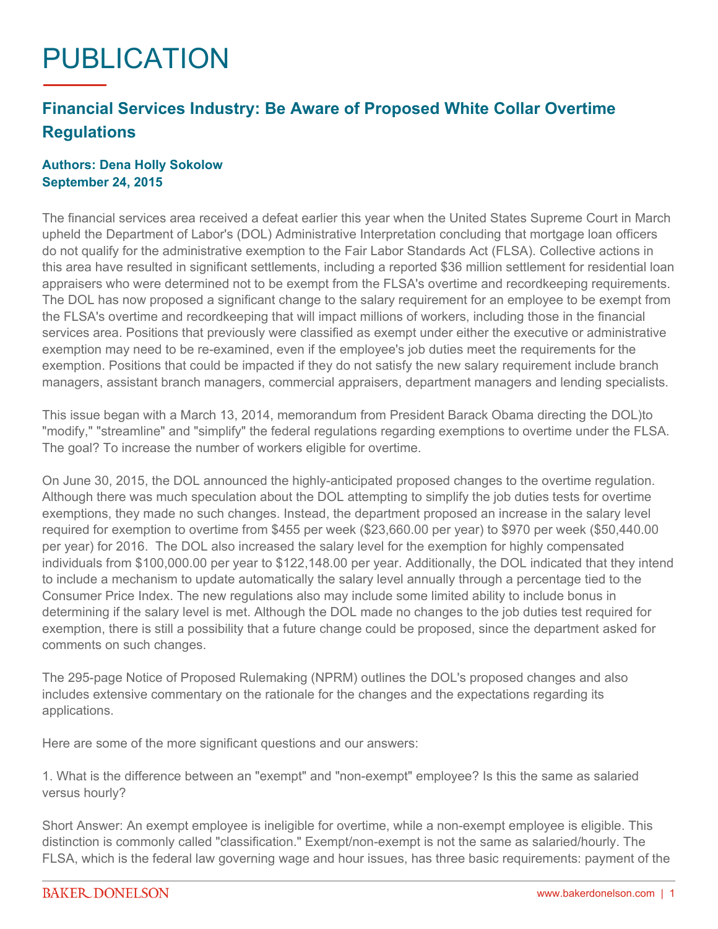## PUBLICATION

## **Financial Services Industry: Be Aware of Proposed White Collar Overtime Regulations**

## **Authors: Dena Holly Sokolow September 24, 2015**

The financial services area received a defeat earlier this year when the United States Supreme Court in March upheld the Department of Labor's (DOL) Administrative Interpretation concluding that mortgage loan officers do not qualify for the administrative exemption to the Fair Labor Standards Act (FLSA). Collective actions in this area have resulted in significant settlements, including a reported \$36 million settlement for residential loan appraisers who were determined not to be exempt from the FLSA's overtime and recordkeeping requirements. The DOL has now proposed a significant change to the salary requirement for an employee to be exempt from the FLSA's overtime and recordkeeping that will impact millions of workers, including those in the financial services area. Positions that previously were classified as exempt under either the executive or administrative exemption may need to be re-examined, even if the employee's job duties meet the requirements for the exemption. Positions that could be impacted if they do not satisfy the new salary requirement include branch managers, assistant branch managers, commercial appraisers, department managers and lending specialists.

This issue began with a March 13, 2014, memorandum from President Barack Obama directing the DOL)to "modify," "streamline" and "simplify" the federal regulations regarding exemptions to overtime under the FLSA. The goal? To increase the number of workers eligible for overtime.

On June 30, 2015, the DOL announced the highly-anticipated proposed changes to the overtime regulation. Although there was much speculation about the DOL attempting to simplify the job duties tests for overtime exemptions, they made no such changes. Instead, the department proposed an increase in the salary level required for exemption to overtime from \$455 per week (\$23,660.00 per year) to \$970 per week (\$50,440.00 per year) for 2016. The DOL also increased the salary level for the exemption for highly compensated individuals from \$100,000.00 per year to \$122,148.00 per year. Additionally, the DOL indicated that they intend to include a mechanism to update automatically the salary level annually through a percentage tied to the Consumer Price Index. The new regulations also may include some limited ability to include bonus in determining if the salary level is met. Although the DOL made no changes to the job duties test required for exemption, there is still a possibility that a future change could be proposed, since the department asked for comments on such changes.

The 295-page Notice of Proposed Rulemaking (NPRM) outlines the DOL's proposed changes and also includes extensive commentary on the rationale for the changes and the expectations regarding its applications.

Here are some of the more significant questions and our answers:

1. What is the difference between an "exempt" and "non-exempt" employee? Is this the same as salaried versus hourly?

Short Answer: An exempt employee is ineligible for overtime, while a non-exempt employee is eligible. This distinction is commonly called "classification." Exempt/non-exempt is not the same as salaried/hourly. The FLSA, which is the federal law governing wage and hour issues, has three basic requirements: payment of the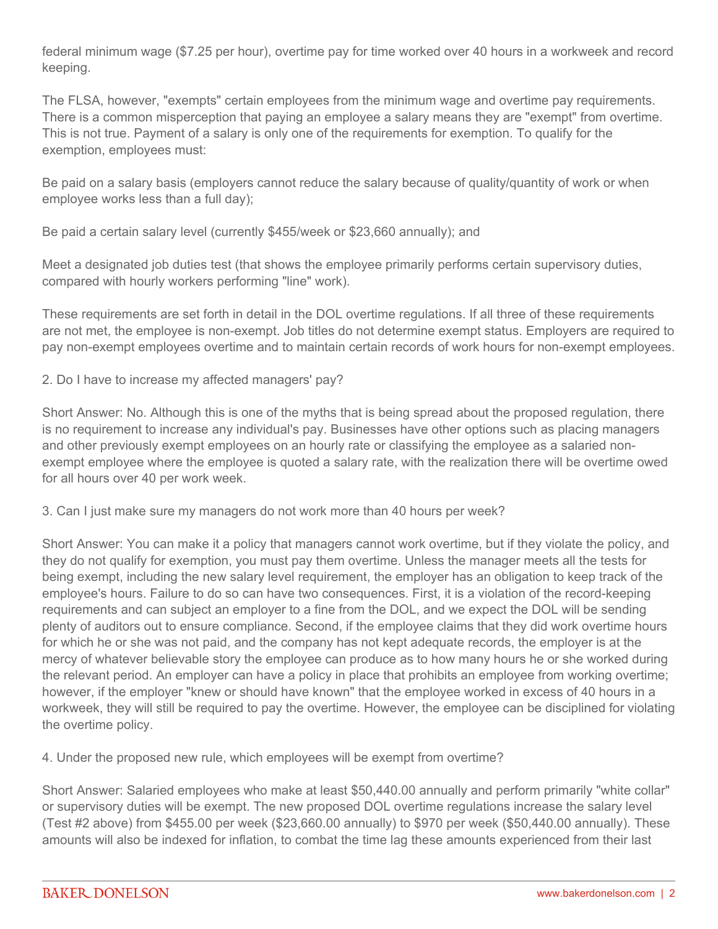federal minimum wage (\$7.25 per hour), overtime pay for time worked over 40 hours in a workweek and record keeping.

The FLSA, however, "exempts" certain employees from the minimum wage and overtime pay requirements. There is a common misperception that paying an employee a salary means they are "exempt" from overtime. This is not true. Payment of a salary is only one of the requirements for exemption. To qualify for the exemption, employees must:

Be paid on a salary basis (employers cannot reduce the salary because of quality/quantity of work or when employee works less than a full day);

Be paid a certain salary level (currently \$455/week or \$23,660 annually); and

Meet a designated job duties test (that shows the employee primarily performs certain supervisory duties, compared with hourly workers performing "line" work).

These requirements are set forth in detail in the DOL overtime regulations. If all three of these requirements are not met, the employee is non-exempt. Job titles do not determine exempt status. Employers are required to pay non-exempt employees overtime and to maintain certain records of work hours for non-exempt employees.

2. Do I have to increase my affected managers' pay?

Short Answer: No. Although this is one of the myths that is being spread about the proposed regulation, there is no requirement to increase any individual's pay. Businesses have other options such as placing managers and other previously exempt employees on an hourly rate or classifying the employee as a salaried nonexempt employee where the employee is quoted a salary rate, with the realization there will be overtime owed for all hours over 40 per work week.

3. Can I just make sure my managers do not work more than 40 hours per week?

Short Answer: You can make it a policy that managers cannot work overtime, but if they violate the policy, and they do not qualify for exemption, you must pay them overtime. Unless the manager meets all the tests for being exempt, including the new salary level requirement, the employer has an obligation to keep track of the employee's hours. Failure to do so can have two consequences. First, it is a violation of the record-keeping requirements and can subject an employer to a fine from the DOL, and we expect the DOL will be sending plenty of auditors out to ensure compliance. Second, if the employee claims that they did work overtime hours for which he or she was not paid, and the company has not kept adequate records, the employer is at the mercy of whatever believable story the employee can produce as to how many hours he or she worked during the relevant period. An employer can have a policy in place that prohibits an employee from working overtime; however, if the employer "knew or should have known" that the employee worked in excess of 40 hours in a workweek, they will still be required to pay the overtime. However, the employee can be disciplined for violating the overtime policy.

4. Under the proposed new rule, which employees will be exempt from overtime?

Short Answer: Salaried employees who make at least \$50,440.00 annually and perform primarily "white collar" or supervisory duties will be exempt. The new proposed DOL overtime regulations increase the salary level (Test #2 above) from \$455.00 per week (\$23,660.00 annually) to \$970 per week (\$50,440.00 annually). These amounts will also be indexed for inflation, to combat the time lag these amounts experienced from their last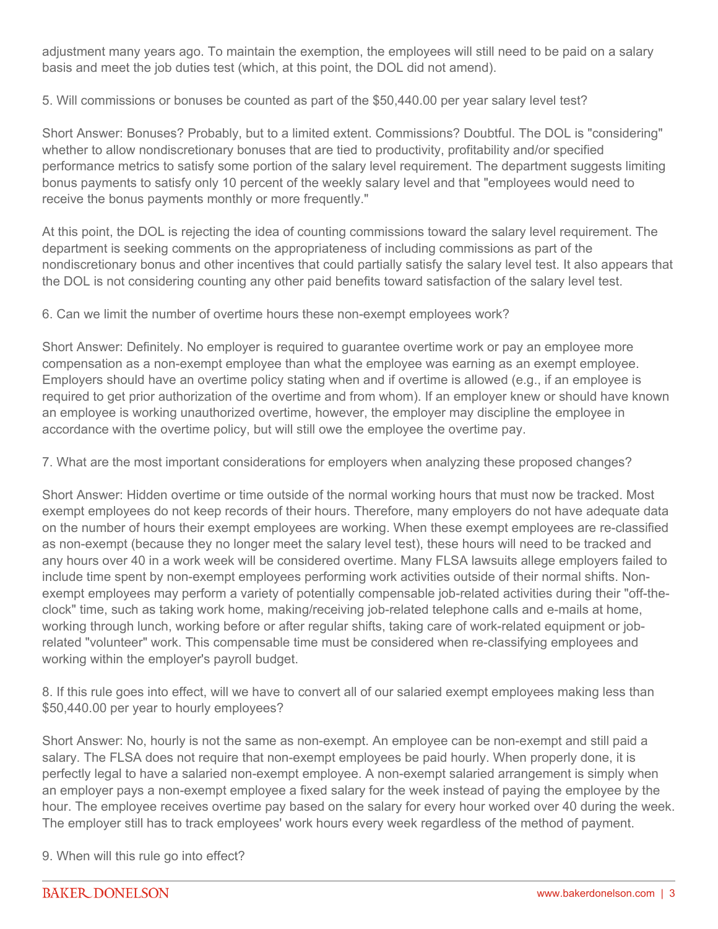adjustment many years ago. To maintain the exemption, the employees will still need to be paid on a salary basis and meet the job duties test (which, at this point, the DOL did not amend).

5. Will commissions or bonuses be counted as part of the \$50,440.00 per year salary level test?

Short Answer: Bonuses? Probably, but to a limited extent. Commissions? Doubtful. The DOL is "considering" whether to allow nondiscretionary bonuses that are tied to productivity, profitability and/or specified performance metrics to satisfy some portion of the salary level requirement. The department suggests limiting bonus payments to satisfy only 10 percent of the weekly salary level and that "employees would need to receive the bonus payments monthly or more frequently."

At this point, the DOL is rejecting the idea of counting commissions toward the salary level requirement. The department is seeking comments on the appropriateness of including commissions as part of the nondiscretionary bonus and other incentives that could partially satisfy the salary level test. It also appears that the DOL is not considering counting any other paid benefits toward satisfaction of the salary level test.

6. Can we limit the number of overtime hours these non-exempt employees work?

Short Answer: Definitely. No employer is required to guarantee overtime work or pay an employee more compensation as a non-exempt employee than what the employee was earning as an exempt employee. Employers should have an overtime policy stating when and if overtime is allowed (e.g., if an employee is required to get prior authorization of the overtime and from whom). If an employer knew or should have known an employee is working unauthorized overtime, however, the employer may discipline the employee in accordance with the overtime policy, but will still owe the employee the overtime pay.

7. What are the most important considerations for employers when analyzing these proposed changes?

Short Answer: Hidden overtime or time outside of the normal working hours that must now be tracked. Most exempt employees do not keep records of their hours. Therefore, many employers do not have adequate data on the number of hours their exempt employees are working. When these exempt employees are re-classified as non-exempt (because they no longer meet the salary level test), these hours will need to be tracked and any hours over 40 in a work week will be considered overtime. Many FLSA lawsuits allege employers failed to include time spent by non-exempt employees performing work activities outside of their normal shifts. Nonexempt employees may perform a variety of potentially compensable job-related activities during their "off-theclock" time, such as taking work home, making/receiving job-related telephone calls and e-mails at home, working through lunch, working before or after regular shifts, taking care of work-related equipment or jobrelated "volunteer" work. This compensable time must be considered when re-classifying employees and working within the employer's payroll budget.

8. If this rule goes into effect, will we have to convert all of our salaried exempt employees making less than \$50,440.00 per year to hourly employees?

Short Answer: No, hourly is not the same as non-exempt. An employee can be non-exempt and still paid a salary. The FLSA does not require that non-exempt employees be paid hourly. When properly done, it is perfectly legal to have a salaried non-exempt employee. A non-exempt salaried arrangement is simply when an employer pays a non-exempt employee a fixed salary for the week instead of paying the employee by the hour. The employee receives overtime pay based on the salary for every hour worked over 40 during the week. The employer still has to track employees' work hours every week regardless of the method of payment.

9. When will this rule go into effect?